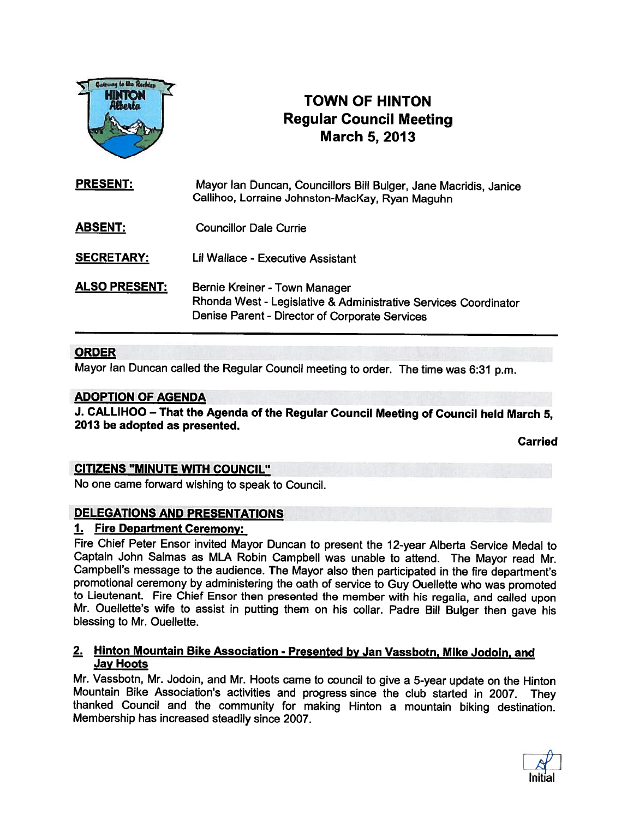

# TOWN OF HINTON Regular Council Meeting March 5, 2013

PRESENT: Mayor Ian Duncan, Councillors Bill Bulger, Jane Macridis, Janice Callihoo, Lorraine Johnston-MacKay, Ryan Maguhn ABSENT: Councillor Dale Currie SECRETARY: Lil Wallace - Executive Assistant

ALSO PRESENT: Bernie Kreiner - Town Manager Rhonda West - Legislative & Administrative Services Coordinator Denise Parent - Director of Corporate Services

### **ORDER**

Mayor Ian Duncan called the Regular Council meeting to order. The time was 6:31 p.m.

### ADOPTION OF AGENDA

J. CALLIHOO — That the Agenda of the Regular Council Meeting of Council held March 5, 2013 be adopted as presented.

Carried

### CITIZENS "MINUTE WITH COUNCIL"

No one came forward wishing to speak to Council.

### DELEGATIONS AND PRESENTATIONS

### 1. Fire Department Ceremony:

Fire Chief Peter Ensor invited Mayor Duncan to present the 12-year Alberta Service Medal to Captain John Salmas as MLA Robin Campbell was unable to attend. The Mayor read Mr. Campbell's message to the audience. The Mayor also then participated in the fire department's promotional ceremony by administering the oath of service to Guy Ouellette who was promoted<br>to Lieutenant. Fire Chief Ensor then presented the member with his regalia, and called upon Mr. Ouellette's wife to assist in putting them on his collar. Padre Bill Bulger then gave his blessing to Mr. Ouellette.

### 2. Hinton Mountain Bike Association - Presented by Jan Vassbotn, Mike Jodoin, and Jay Hoots

Mr. Vassbotn, Mr. Jodoin, and Mr. Hoots came to council to give a 5-year update on the Hinton<br>Mountain Bike Association's activities and progress since the club started in 2007. They thanked Council and the community for making Hinton a mountain biking destination. Membership has increased steadily since 2007.

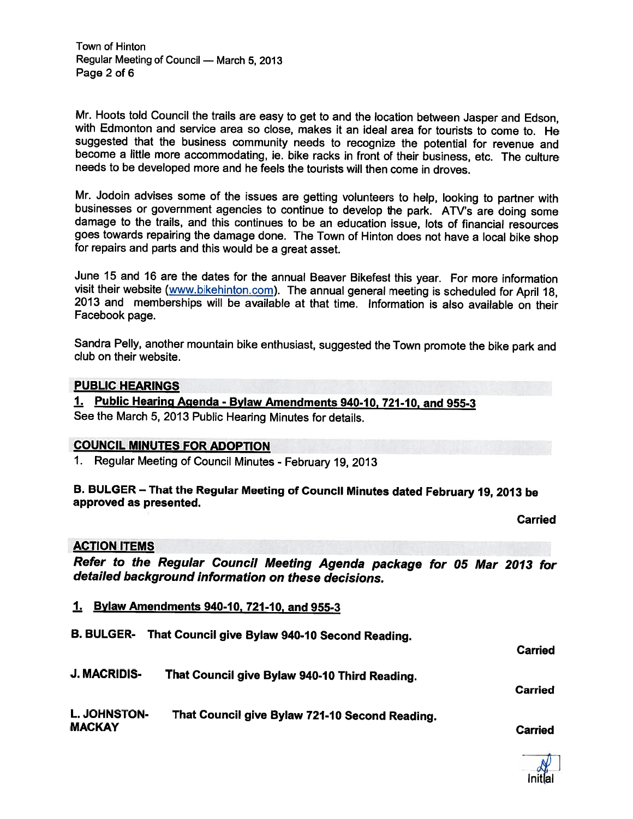Town of Hinton Regular Meeting of Council — March 5, 2013 Page 2 of 6

Mr. Hoots told Council the trails are easy to get to and the location between Jasper and Edson, with Edmonton and service area so close, makes it an ideal area for tourists to come to. He become a little more accommodating, ie. bike racks in front of their business, etc. The culture needs to be developed more and he feels the tourists will then come in droves.

Mr. Jodoin advises some of the issues are getting volunteers to help, looking to partner with businesses or government agencies to continue to develop the park. ATV's are doing some damage to the trails, and this continues goes towards repairing the damage done. The Town of Hinton does not have <sup>a</sup> local bike shop for repairs and parts and this would be <sup>a</sup> great asset.

June 15 and 16 are the dates for the annual Beaver Bikefest this year. For more information visit their website (www.bikehinton.com). The annual general meeting is scheduled for April 18, 2013 and memberships will be available at that time. Information is also available on their Facebook page.

Sandra Pelly, another mountain bike enthusiast, suggested the Town promote the bike par<sup>k</sup> and club on their website.

### PUBLIC HEARINGS

1. Public Hearing Agenda - Bylaw Amendments 940-10, 721-10, and 955-3 See the March 5, <sup>2013</sup> Public Hearing Minutes for details.

### COUNCIL MINUTES FOR ADOPTION

1. Regular Meeting of Council Minutes - February 19, <sup>2013</sup>

# B. BULGER — That the Regular Meeting of Council Minutes dated February 19, <sup>2013</sup> be approved as presented.

**Carried** 

### ACTION ITEMS

Refer to the Regular Council Meeting Agenda package for <sup>05</sup> Mar <sup>2013</sup> for detailed background information on these decisions.

- 1. Bylaw Amendments 940-10, 721-10, and 955-3
- B. BULGER- That Council <sup>g</sup>ive Bylaw 940-10 Second Reading.

Carried

**Carried** 

- J. MACRIDIS- That Council <sup>g</sup>ive Bylaw 940-10 Third Reading.
- L. JOHNSTON- That Council <sup>g</sup>ive Bylaw 721-10 Second Reading. MACKAY Carried

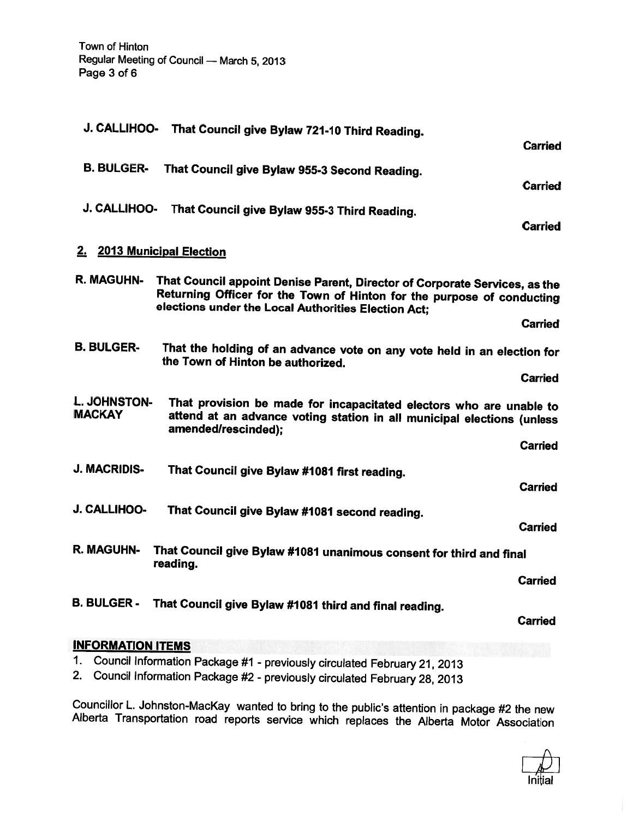|                               | J. CALLIHOO- That Council give Bylaw 721-10 Third Reading.                                                                                                                                                  |                |
|-------------------------------|-------------------------------------------------------------------------------------------------------------------------------------------------------------------------------------------------------------|----------------|
|                               |                                                                                                                                                                                                             | <b>Carried</b> |
| <b>B. BULGER-</b>             | That Council give Bylaw 955-3 Second Reading.                                                                                                                                                               |                |
|                               |                                                                                                                                                                                                             | <b>Carried</b> |
| J. CALLIHOO-                  | That Council give Bylaw 955-3 Third Reading.                                                                                                                                                                |                |
|                               |                                                                                                                                                                                                             | <b>Carried</b> |
| 2. 2013 Municipal Election    |                                                                                                                                                                                                             |                |
| R. MAGUHN-                    | That Council appoint Denise Parent, Director of Corporate Services, as the<br>Returning Officer for the Town of Hinton for the purpose of conducting<br>elections under the Local Authorities Election Act; |                |
|                               |                                                                                                                                                                                                             | <b>Carried</b> |
| <b>B. BULGER-</b>             | That the holding of an advance vote on any vote held in an election for<br>the Town of Hinton be authorized.                                                                                                |                |
|                               |                                                                                                                                                                                                             | <b>Carried</b> |
| L. JOHNSTON-<br><b>MACKAY</b> | That provision be made for incapacitated electors who are unable to<br>attend at an advance voting station in all municipal elections (unless<br>amended/rescinded);                                        |                |
|                               |                                                                                                                                                                                                             | <b>Carried</b> |
| J. MACRIDIS-                  | That Council give Bylaw #1081 first reading.                                                                                                                                                                |                |
|                               |                                                                                                                                                                                                             | <b>Carried</b> |
| J. CALLIHOO-                  | That Council give Bylaw #1081 second reading.                                                                                                                                                               | <b>Carried</b> |
| <b>R. MAGUHN-</b>             | That Council give Bylaw #1081 unanimous consent for third and final<br>reading.                                                                                                                             |                |
|                               |                                                                                                                                                                                                             | <b>Carried</b> |
| <b>B. BULGER -</b>            | That Council give Bylaw #1081 third and final reading.                                                                                                                                                      | <b>Carried</b> |
| <b>INFORMATION ITEMS</b>      |                                                                                                                                                                                                             |                |
|                               |                                                                                                                                                                                                             |                |

- 1. Council Information Package #1 previously circulated February 21, <sup>2013</sup>
- 2. Council Information Package #2 previously circulated February 28, <sup>2013</sup>

Councillor L. Johnston-MacKay wanted to bring to the public's attention in package #2 the new Alberta Transportation road reports service which replaces the Alberta Motor Association



ł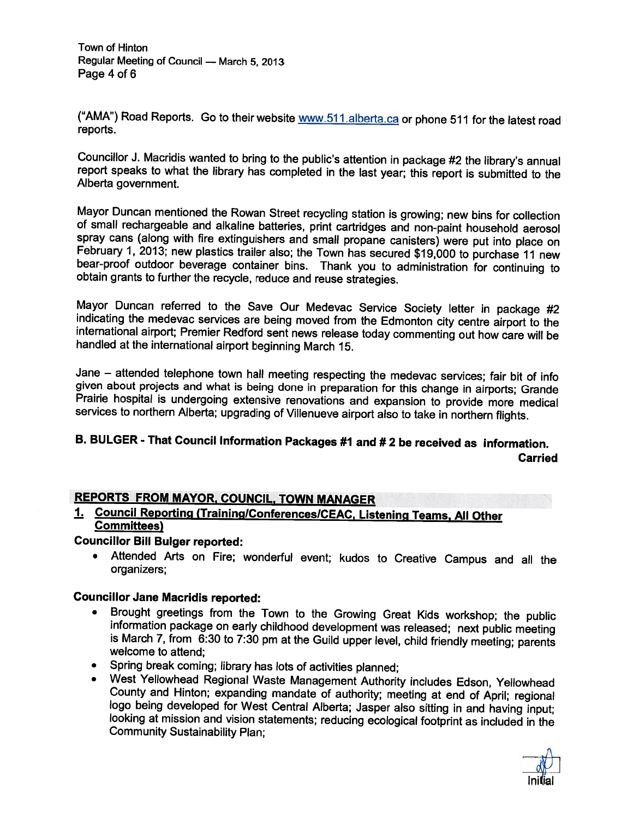Town of Hinton Regular Meeting of Council — March 5, 2013 Page 4 of 6

("AMA") Road Reports. Go to their website www.511 alberta.ca or phone 511 for the latest road reports.

Councillor J. Macridis wanted to bring to the public's attention in package #2 the library's annual report speaks to what the library has completed in the last year; this report is submitted to the Alberta government.

Mayor Duncan mentioned the Rowan Street recycling station is growing; new bins for collection of small rechargeable and alkaline batteries, print cartridges and non-paint household aerosol spray cans (along with fire extin February 1, 2013; new plastics trailer also; the Town has secured \$19,000 to purchase 11 new bear-proof outdoor beverage container bins. Thank you to administration for continuing to obtain grants to further the recycle, r

Mayor Duncan referred to the Save Our Medevac Service Society letter in package #2 indicating the medevac services are being moved from the Edmonton city centre airport to the international airport; Premier Redford sent ne

Jane – attended telephone town hall meeting respecting the medevac services; fair bit of info given about projects and what is being done in preparation for this change in airports; Grande Prairie hospital is undergoing extensive renovations and expansion to provide more medical services to northern Alberta; upgrading of Villenueve airport also to take in northern flights.

### B. BULGER - That Council Information Packages #1 and # <sup>2</sup> be received as information. Carried

### REPORTS FROM MAYOR, COUNCIL, TOWN MANAGER

# 1. Council Reporting (Training/Conferences/CEAC, Listening Teams, All Other<br>Committees)

### Councillor Bill Bulger reported:

•Attended Arts on Fire; wonderful event; kudos to Creative Campus and all the organizers;

### Councillor Jane Macridis reported:

- •Brought greetings from the Town to the Growing Great Kids workshop; the public information package on early childhood development was released; next public meeting is March 7, from 6:30 to 7:30 pm at the Guild upper level,
- •
- Spring break coming; library has lots of activities planned;<br>West Yellowhead Regional Waste Management Authority includes Edson, Yellowhead County and Hinton; expanding mandate of authority; meeting at end of April; regional logo being developed for West Central Alberta; Jasper also sitting in and having input; looking at mission and vision statements; reducin

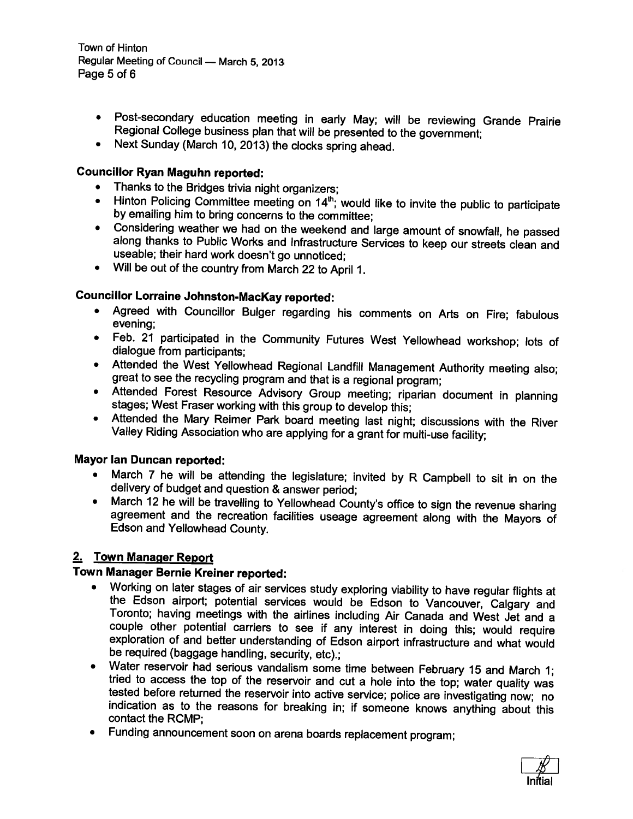Town of Hinton Regular Meeting of Council — March 5, 2013 Page 5 of 6

- Post-secondary education meeting in early May; will be reviewing Grande Prairie Regional CoNege business <sup>p</sup>lan that will be presented to the government;
- Next Sunday (March 10, 2013) the clocks spring ahead.

### Councillor Ryan Maguhn reported:

- Thanks to the Bridges trivia night organizers;
- Hinton Policing Committee meeting on 14<sup>th</sup>; would like to invite the public to participate by emailing him to bring concerns to the committee;
- Considering weather we had on the weekend and large amount of snowfall, he passed along thanks to Public Works and Infrastructure Services to keep our streets clean and useable; their hard work doesn't go unnoticed;
- Will be out of the country from March <sup>22</sup> to April 1.

### Councillor Lorraine Johnston-MacKay reported:

- Agreed with Councillor Bulger regarding his comments on Arts on Fire; fabulous evening;
- Feb. <sup>21</sup> participated in the Community Futures West Yellowhead workshop; lots of dialogue from participants;
- Attended the West Yellowhead Regional Landfill Management Authority meeting also; great to see the recycling program and that is great to see the recycling program and that is a regional program;
- Attended Forest Resource Advisory Group meeting; riparian document in <sup>p</sup>lanning stages; West Fraser working with this group to develop this;
- Attended the Mary Reimer Park board meeting last night; discussions with the River Valley Riding Association who are applying for Valley Riding Association who are applying for a grant for multi-use facility;

### Mayor Ian Duncan reported:

- March <sup>7</sup> he will be attending the legislature; invited by <sup>R</sup> Campbell to sit in on the delivery of budget and question
- delivery of budget and question & answer period;<br>March 12 he will be travelling to Yellowhead County's office to sign the revenue sharing  $\bullet$ agreement and the recreation facilities useage agreement along with the Mayors of<br>Edson and Yellowhead County.

### 2. Town Manager Report

### Town Manager Bernie Kreiner reported:

- Working on later stages of air services study exploring viability to have regular flights at the Edson airport; potential services would be Edson to Vancouver, Calgary and Toronto; having meetings with the airlines including Air Canada and West Jet and a couple other potential carriers to see if any interest in doing this; would require exploration of and better understanding of Edson airport infrastructure and what would be required (baggage handling, security, etc).;
- •Water reservoir had serious vandalism some time between February 15 and March 1; tried to access the top of the reservoir and cut a hole into the top; water quality was tested before returned the reservoir into active service; police are investigating now; no indication as to the reasons for breaking in; if someone knows anything about this contact the RCMP;
- •Funding announcement soon on arena boards replacement program;